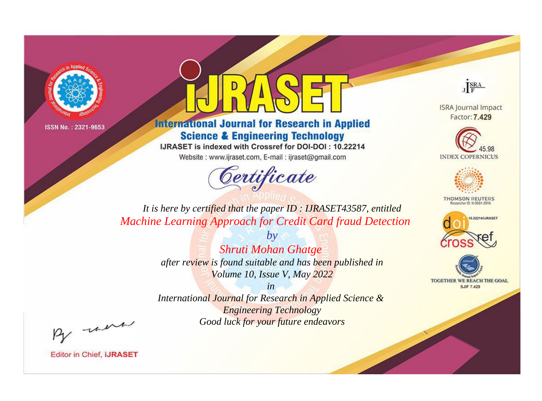



**International Journal for Research in Applied Science & Engineering Technology** 

IJRASET is indexed with Crossref for DOI-DOI: 10.22214

Website: www.ijraset.com, E-mail: ijraset@gmail.com



JERA

**ISRA Journal Impact** Factor: 7.429





**THOMSON REUTERS** 



TOGETHER WE REACH THE GOAL **SJIF 7.429** 

It is here by certified that the paper ID: IJRASET43587, entitled **Machine Learning Approach for Credit Card fraud Detection** 

> $b\nu$ Shruti Mohan Ghatge after review is found suitable and has been published in Volume 10, Issue V, May 2022

> $in$ International Journal for Research in Applied Science & **Engineering Technology**

> > Good luck for your future endeavors

By morn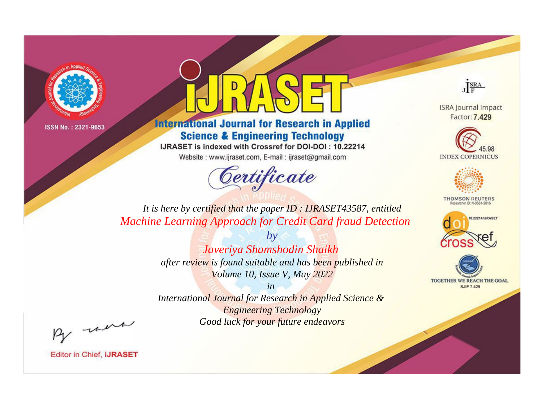



**International Journal for Research in Applied Science & Engineering Technology** 

IJRASET is indexed with Crossref for DOI-DOI: 10.22214

Website: www.ijraset.com, E-mail: ijraset@gmail.com



JERA

**ISRA Journal Impact** Factor: 7.429





**THOMSON REUTERS** 



TOGETHER WE REACH THE GOAL **SJIF 7.429** 

*It is here by certified that the paper ID : IJRASET43587, entitled Machine Learning Approach for Credit Card fraud Detection*

> *by Javeriya Shamshodin Shaikh after review is found suitable and has been published in Volume 10, Issue V, May 2022*

> > *in*

*International Journal for Research in Applied Science & Engineering Technology Good luck for your future endeavors*

By morn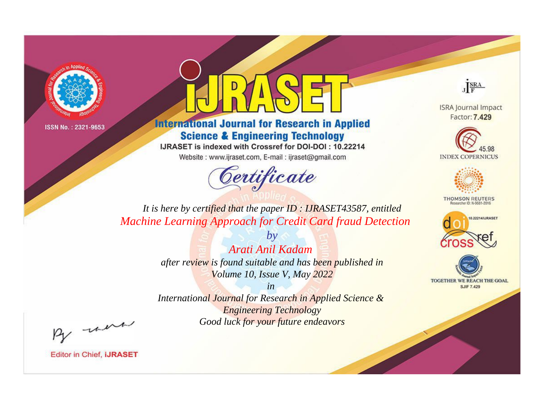



**International Journal for Research in Applied Science & Engineering Technology** 

IJRASET is indexed with Crossref for DOI-DOI: 10.22214

Website: www.ijraset.com, E-mail: ijraset@gmail.com



JERA

**ISRA Journal Impact** Factor: 7.429





**THOMSON REUTERS** 



TOGETHER WE REACH THE GOAL **SJIF 7.429** 

*It is here by certified that the paper ID : IJRASET43587, entitled Machine Learning Approach for Credit Card fraud Detection*

> *Arati Anil Kadam after review is found suitable and has been published in Volume 10, Issue V, May 2022*

*by*

*in* 

*International Journal for Research in Applied Science & Engineering Technology Good luck for your future endeavors*

By morn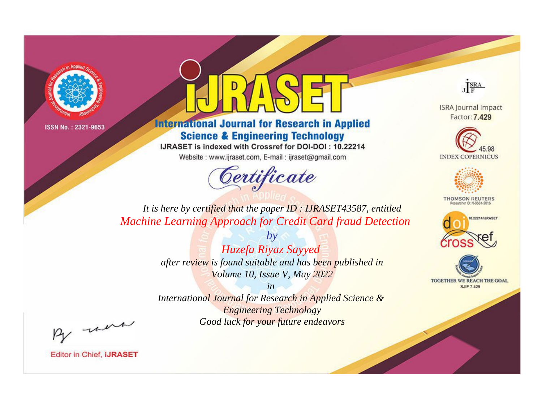



**International Journal for Research in Applied Science & Engineering Technology** 

IJRASET is indexed with Crossref for DOI-DOI: 10.22214

Website: www.ijraset.com, E-mail: ijraset@gmail.com



JERA

**ISRA Journal Impact** Factor: 7.429





**THOMSON REUTERS** 



TOGETHER WE REACH THE GOAL **SJIF 7.429** 

*It is here by certified that the paper ID : IJRASET43587, entitled Machine Learning Approach for Credit Card fraud Detection*

> *Huzefa Riyaz Sayyed after review is found suitable and has been published in Volume 10, Issue V, May 2022*

*by*

*in* 

*International Journal for Research in Applied Science & Engineering Technology Good luck for your future endeavors*

By morn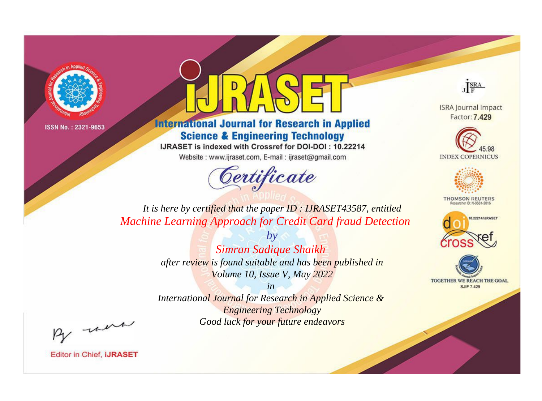



**International Journal for Research in Applied Science & Engineering Technology** 

IJRASET is indexed with Crossref for DOI-DOI: 10.22214

Website: www.ijraset.com, E-mail: ijraset@gmail.com



JERA

**ISRA Journal Impact** Factor: 7.429





**THOMSON REUTERS** 



TOGETHER WE REACH THE GOAL **SJIF 7.429** 

It is here by certified that the paper ID: IJRASET43587, entitled **Machine Learning Approach for Credit Card fraud Detection** 

> $b\nu$ Simran Sadique Shaikh after review is found suitable and has been published in Volume 10, Issue V, May 2022

 $in$ International Journal for Research in Applied Science & **Engineering Technology** Good luck for your future endeavors

By morn